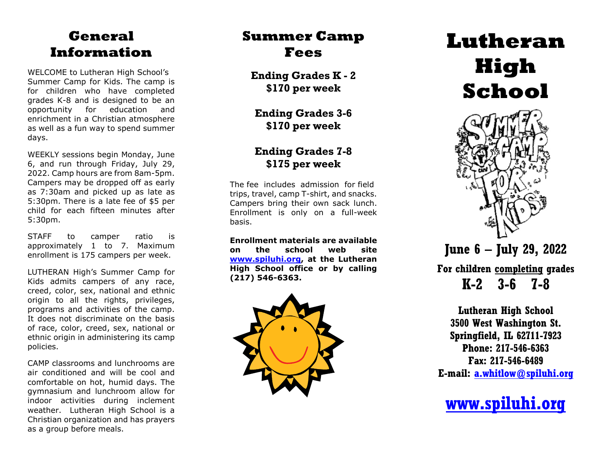#### **General Information**

WELCOME to Lutheran High School's Summer Camp for Kids. The camp is for children who have completed grades K -8 and is designed to be an opportunity for education and enrichment in a Christian atmosphere as well as a fun way to spend summer days.

WEEKLY sessions begin Monday, June 6, and run through Friday, July 29, 20 2 2. Camp hours are from 8am -5pm. Campers may be dropped off as early as 7:30am and picked up as late as 5:30pm. There is a late fee of \$5 per child for each fifteen minutes after 5:30pm.

STAFF to camper ratio is approximately 1 to 7. Maximum enrollment is 175 campers per week.

LUTHERAN High's Summer Camp for Kids admits campers of any race, creed, color, sex, national and ethnic origin to all the rights, privileges, programs and activities of the camp. It does not discriminate on the basis of race, color, creed, sex, national or ethnic origin in administering its camp policies.

CAMP classrooms and lunchrooms are air conditioned and will be cool and comfortable on hot, humid days. The gymnasium and lunchroom allow for indoor activities during inclement weather. Lutheran High School is a Christian organization and has prayers as a group before meals.

## **Summer Camp Fees**

**Ending Grades K - 2 \$170 per week** 

**Ending Grades 3 -6 \$170 per week** 

#### **Ending Grades 7 -8 \$175 per week**

The fee includes admission for field trips, travel, camp T -shirt, and snacks. Campers bring their own sack lunch. Enrollment is only on a full -week basis.

**Enrollment materials are available on the school web site [www.spiluhi.org,](http://www.spiluhi.org/) at the Lutheran High School office or by calling (217) 546 -6363 .**



# **Lutheran High School**



## **June 6 – July 29, 20 2 2**

**For children completing grades K-2 3-6 7-8** 

**Lutheran High School 3500 West Washington St. Springfield, IL 62711 -7923 Phone: 217 -546 -6363 Fax: 217 -546 -6489 E -mail: [a.whitlow@spiluhi.org](mailto:a.whitlow@spiluhi.org)**